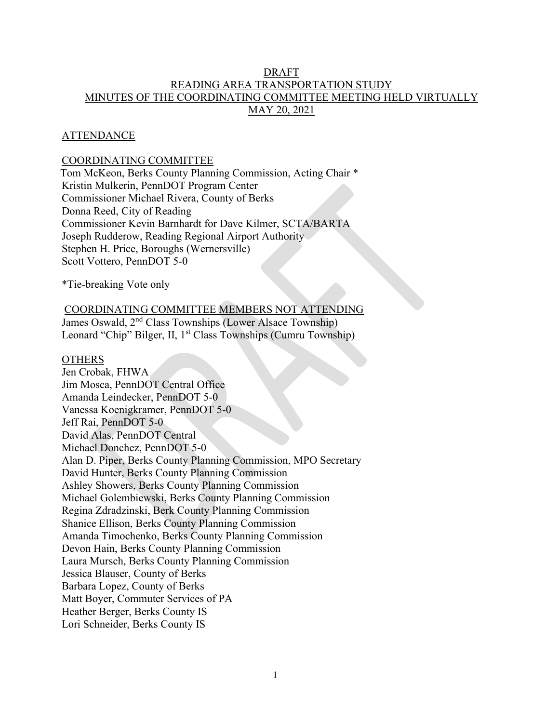# DRAFT READING AREA TRANSPORTATION STUDY MINUTES OF THE COORDINATING COMMITTEE MEETING HELD VIRTUALLY MAY 20, 2021

## **ATTENDANCE**

# COORDINATING COMMITTEE

Tom McKeon, Berks County Planning Commission, Acting Chair \* Kristin Mulkerin, PennDOT Program Center Commissioner Michael Rivera, County of Berks Donna Reed, City of Reading Commissioner Kevin Barnhardt for Dave Kilmer, SCTA/BARTA Joseph Rudderow, Reading Regional Airport Authority Stephen H. Price, Boroughs (Wernersville) Scott Vottero, PennDOT 5-0

\*Tie-breaking Vote only

#### COORDINATING COMMITTEE MEMBERS NOT ATTENDING

James Oswald, 2nd Class Townships (Lower Alsace Township) Leonard "Chip" Bilger, II, 1<sup>st</sup> Class Townships (Cumru Township)

#### **OTHERS**

Jen Crobak, FHWA Jim Mosca, PennDOT Central Office Amanda Leindecker, PennDOT 5-0 Vanessa Koenigkramer, PennDOT 5-0 Jeff Rai, PennDOT 5-0 David Alas, PennDOT Central Michael Donchez, PennDOT 5-0 Alan D. Piper, Berks County Planning Commission, MPO Secretary David Hunter, Berks County Planning Commission Ashley Showers, Berks County Planning Commission Michael Golembiewski, Berks County Planning Commission Regina Zdradzinski, Berk County Planning Commission Shanice Ellison, Berks County Planning Commission Amanda Timochenko, Berks County Planning Commission Devon Hain, Berks County Planning Commission Laura Mursch, Berks County Planning Commission Jessica Blauser, County of Berks Barbara Lopez, County of Berks Matt Boyer, Commuter Services of PA Heather Berger, Berks County IS Lori Schneider, Berks County IS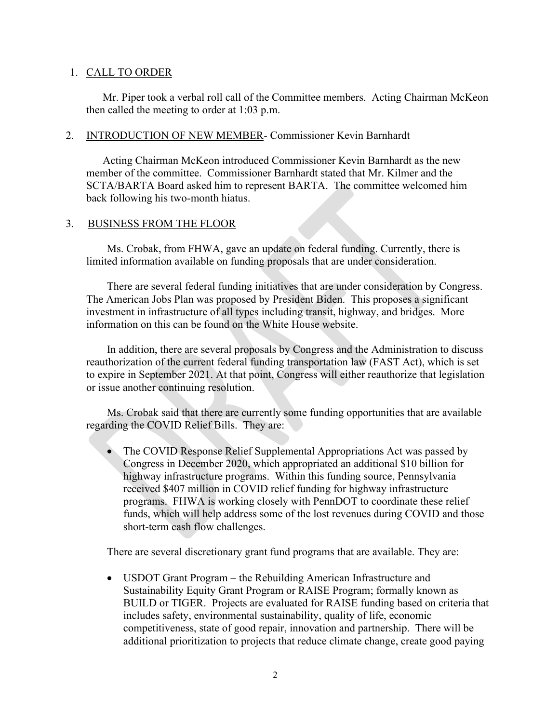## 1. CALL TO ORDER

Mr. Piper took a verbal roll call of the Committee members. Acting Chairman McKeon then called the meeting to order at 1:03 p.m.

## 2. INTRODUCTION OF NEW MEMBER- Commissioner Kevin Barnhardt

Acting Chairman McKeon introduced Commissioner Kevin Barnhardt as the new member of the committee. Commissioner Barnhardt stated that Mr. Kilmer and the SCTA/BARTA Board asked him to represent BARTA. The committee welcomed him back following his two-month hiatus.

## 3. BUSINESS FROM THE FLOOR

Ms. Crobak, from FHWA, gave an update on federal funding. Currently, there is limited information available on funding proposals that are under consideration.

There are several federal funding initiatives that are under consideration by Congress. The American Jobs Plan was proposed by President Biden. This proposes a significant investment in infrastructure of all types including transit, highway, and bridges. More information on this can be found on the White House website.

In addition, there are several proposals by Congress and the Administration to discuss reauthorization of the current federal funding transportation law (FAST Act), which is set to expire in September 2021. At that point, Congress will either reauthorize that legislation or issue another continuing resolution.

Ms. Crobak said that there are currently some funding opportunities that are available regarding the COVID Relief Bills. They are:

• The COVID Response Relief Supplemental Appropriations Act was passed by Congress in December 2020, which appropriated an additional \$10 billion for highway infrastructure programs. Within this funding source, Pennsylvania received \$407 million in COVID relief funding for highway infrastructure programs. FHWA is working closely with PennDOT to coordinate these relief funds, which will help address some of the lost revenues during COVID and those short-term cash flow challenges.

There are several discretionary grant fund programs that are available. They are:

• USDOT Grant Program – the Rebuilding American Infrastructure and Sustainability Equity Grant Program or RAISE Program; formally known as BUILD or TIGER. Projects are evaluated for RAISE funding based on criteria that includes safety, environmental sustainability, quality of life, economic competitiveness, state of good repair, innovation and partnership. There will be additional prioritization to projects that reduce climate change, create good paying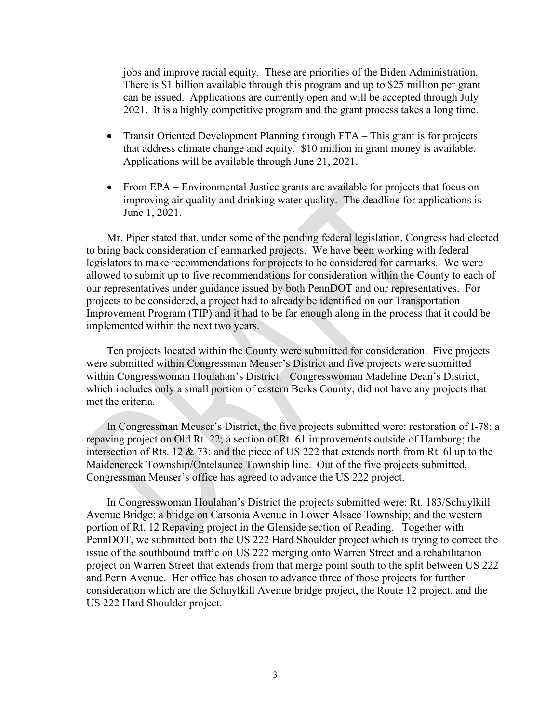jobs and improve racial equity. These are priorities of the Biden Administration. There is \$1 billion available through this program and up to \$25 million per grant can be issued. Applications are currently open and will be accepted through July 2021. It is a highly competitive program and the grant process takes a long time.

- Transit Oriented Development Planning through FTA This grant is for projects that address climate change and equity. \$10 million in grant money is available. Applications will be available through June 21, 2021.
- From EPA Environmental Justice grants are available for projects that focus on improving air quality and drinking water quality. The deadline for applications is June 1, 2021.

Mr. Piper stated that, under some of the pending federal legislation, Congress had elected to bring back consideration of earmarked projects. We have been working with federal legislators to make recommendations for projects to be considered for earmarks. We were allowed to submit up to five recommendations for consideration within the County to each of our representatives under guidance issued by both PennDOT and our representatives. For projects to be considered, a project had to already be identified on our Transportation Improvement Program (TIP) and it had to be far enough along in the process that it could be implemented within the next two years.

Ten projects located within the County were submitted for consideration. Five projects were submitted within Congressman Meuser's District and five projects were submitted within Congresswoman Houlahan's District. Congresswoman Madeline Dean's District, which includes only a small portion of eastern Berks County, did not have any projects that met the criteria.

In Congressman Meuser's District, the five projects submitted were: restoration of I-78; a repaving project on Old Rt. 22; a section of Rt. 61 improvements outside of Hamburg; the intersection of Rts. 12 & 73; and the piece of US 222 that extends north from Rt. 6l up to the Maidencreek Township/Ontelaunee Township line. Out of the five projects submitted, Congressman Meuser's office has agreed to advance the US 222 project.

In Congresswoman Houlahan's District the projects submitted were: Rt. 183/Schuylkill Avenue Bridge; a bridge on Carsonia Avenue in Lower Alsace Township; and the western portion of Rt. 12 Repaving project in the Glenside section of Reading. Together with PennDOT, we submitted both the US 222 Hard Shoulder project which is trying to correct the issue of the southbound traffic on US 222 merging onto Warren Street and a rehabilitation project on Warren Street that extends from that merge point south to the split between US 222 and Penn Avenue. Her office has chosen to advance three of those projects for further consideration which are the Schuylkill Avenue bridge project, the Route 12 project, and the US 222 Hard Shoulder project.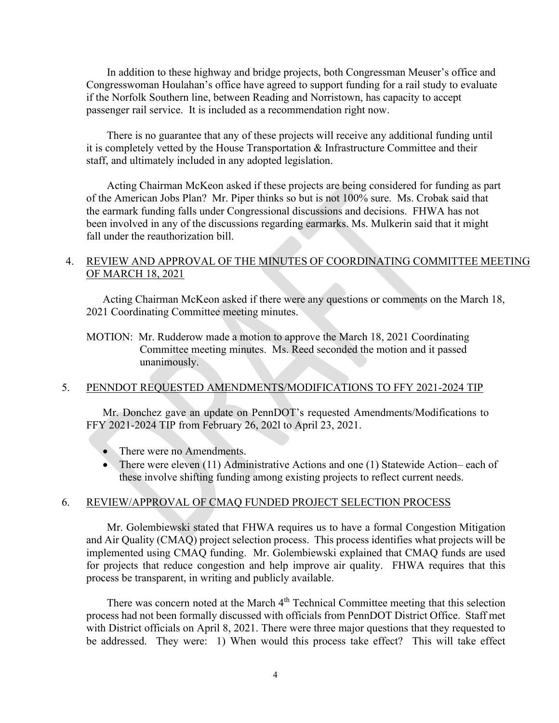In addition to these highway and bridge projects, both Congressman Meuser's office and Congresswoman Houlahan's office have agreed to support funding for a rail study to evaluate if the Norfolk Southern line, between Reading and Norristown, has capacity to accept passenger rail service. It is included as a recommendation right now.

There is no guarantee that any of these projects will receive any additional funding until it is completely vetted by the House Transportation & Infrastructure Committee and their staff, and ultimately included in any adopted legislation.

Acting Chairman McKeon asked if these projects are being considered for funding as part of the American Jobs Plan? Mr. Piper thinks so but is not 100% sure. Ms. Crobak said that the earmark funding falls under Congressional discussions and decisions. FHWA has not been involved in any of the discussions regarding earmarks. Ms. Mulkerin said that it might fall under the reauthorization bill.

# 4. REVIEW AND APPROVAL OF THE MINUTES OF COORDINATING COMMITTEE MEETING OF MARCH 18, 2021

Acting Chairman McKeon asked if there were any questions or comments on the March 18, 2021 Coordinating Committee meeting minutes.

MOTION: Mr. Rudderow made a motion to approve the March 18, 2021 Coordinating Committee meeting minutes. Ms. Reed seconded the motion and it passed unanimously.

## 5. PENNDOT REQUESTED AMENDMENTS/MODIFICATIONS TO FFY 2021-2024 TIP

Mr. Donchez gave an update on PennDOT's requested Amendments/Modifications to FFY 2021-2024 TIP from February 26, 202l to April 23, 2021.

- There were no Amendments.
- There were eleven (11) Administrative Actions and one (1) Statewide Action– each of these involve shifting funding among existing projects to reflect current needs.

#### 6. REVIEW/APPROVAL OF CMAQ FUNDED PROJECT SELECTION PROCESS

Mr. Golembiewski stated that FHWA requires us to have a formal Congestion Mitigation and Air Quality (CMAQ) project selection process. This process identifies what projects will be implemented using CMAQ funding. Mr. Golembiewski explained that CMAQ funds are used for projects that reduce congestion and help improve air quality. FHWA requires that this process be transparent, in writing and publicly available.

There was concern noted at the March 4<sup>th</sup> Technical Committee meeting that this selection process had not been formally discussed with officials from PennDOT District Office. Staff met with District officials on April 8, 2021. There were three major questions that they requested to be addressed. They were: 1) When would this process take effect? This will take effect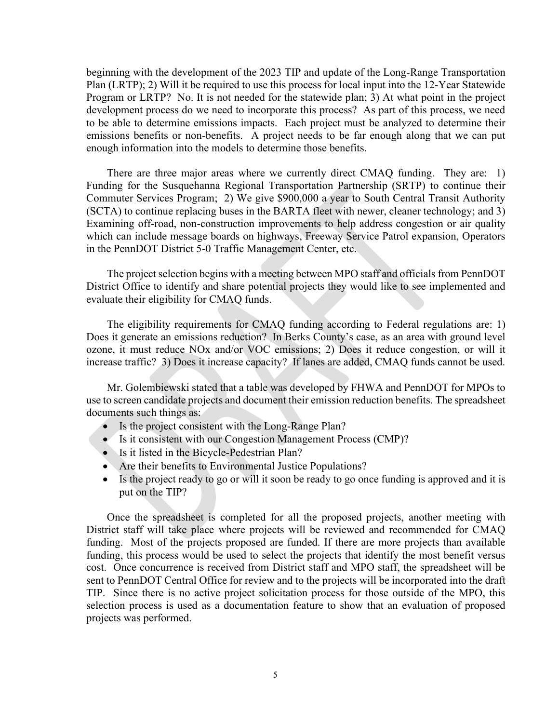beginning with the development of the 2023 TIP and update of the Long-Range Transportation Plan (LRTP); 2) Will it be required to use this process for local input into the 12-Year Statewide Program or LRTP? No. It is not needed for the statewide plan; 3) At what point in the project development process do we need to incorporate this process? As part of this process, we need to be able to determine emissions impacts. Each project must be analyzed to determine their emissions benefits or non-benefits. A project needs to be far enough along that we can put enough information into the models to determine those benefits.

There are three major areas where we currently direct CMAQ funding. They are: 1) Funding for the Susquehanna Regional Transportation Partnership (SRTP) to continue their Commuter Services Program; 2) We give \$900,000 a year to South Central Transit Authority (SCTA) to continue replacing buses in the BARTA fleet with newer, cleaner technology; and 3) Examining off-road, non-construction improvements to help address congestion or air quality which can include message boards on highways, Freeway Service Patrol expansion, Operators in the PennDOT District 5-0 Traffic Management Center, etc.

The project selection begins with a meeting between MPO staff and officials from PennDOT District Office to identify and share potential projects they would like to see implemented and evaluate their eligibility for CMAQ funds.

The eligibility requirements for CMAQ funding according to Federal regulations are: 1) Does it generate an emissions reduction? In Berks County's case, as an area with ground level ozone, it must reduce NOx and/or VOC emissions; 2) Does it reduce congestion, or will it increase traffic? 3) Does it increase capacity? If lanes are added, CMAQ funds cannot be used.

Mr. Golembiewski stated that a table was developed by FHWA and PennDOT for MPOs to use to screen candidate projects and document their emission reduction benefits. The spreadsheet documents such things as:

- Is the project consistent with the Long-Range Plan?
- Is it consistent with our Congestion Management Process (CMP)?
- Is it listed in the Bicycle-Pedestrian Plan?
- Are their benefits to Environmental Justice Populations?
- Is the project ready to go or will it soon be ready to go once funding is approved and it is put on the TIP?

Once the spreadsheet is completed for all the proposed projects, another meeting with District staff will take place where projects will be reviewed and recommended for CMAQ funding. Most of the projects proposed are funded. If there are more projects than available funding, this process would be used to select the projects that identify the most benefit versus cost. Once concurrence is received from District staff and MPO staff, the spreadsheet will be sent to PennDOT Central Office for review and to the projects will be incorporated into the draft TIP. Since there is no active project solicitation process for those outside of the MPO, this selection process is used as a documentation feature to show that an evaluation of proposed projects was performed.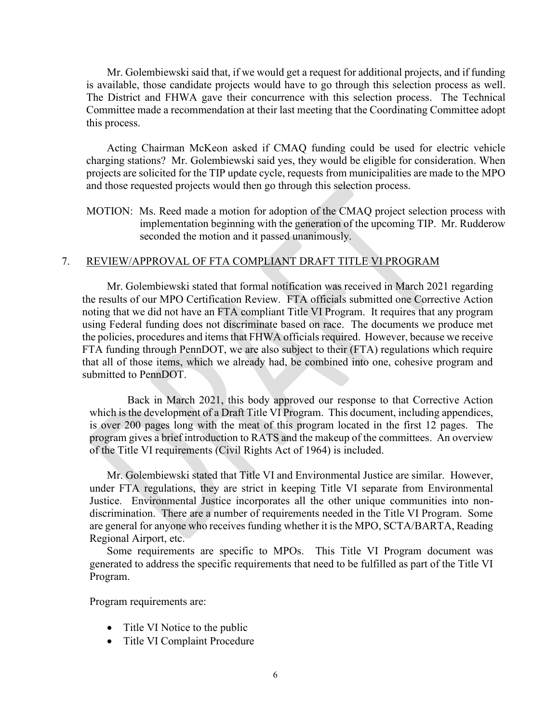Mr. Golembiewski said that, if we would get a request for additional projects, and if funding is available, those candidate projects would have to go through this selection process as well. The District and FHWA gave their concurrence with this selection process. The Technical Committee made a recommendation at their last meeting that the Coordinating Committee adopt this process.

Acting Chairman McKeon asked if CMAQ funding could be used for electric vehicle charging stations? Mr. Golembiewski said yes, they would be eligible for consideration. When projects are solicited for the TIP update cycle, requests from municipalities are made to the MPO and those requested projects would then go through this selection process.

MOTION: Ms. Reed made a motion for adoption of the CMAQ project selection process with implementation beginning with the generation of the upcoming TIP. Mr. Rudderow seconded the motion and it passed unanimously.

## 7. REVIEW/APPROVAL OF FTA COMPLIANT DRAFT TITLE VI PROGRAM

Mr. Golembiewski stated that formal notification was received in March 2021 regarding the results of our MPO Certification Review. FTA officials submitted one Corrective Action noting that we did not have an FTA compliant Title VI Program. It requires that any program using Federal funding does not discriminate based on race. The documents we produce met the policies, procedures and items that FHWA officials required. However, because we receive FTA funding through PennDOT, we are also subject to their (FTA) regulations which require that all of those items, which we already had, be combined into one, cohesive program and submitted to PennDOT.

Back in March 2021, this body approved our response to that Corrective Action which is the development of a Draft Title VI Program. This document, including appendices, is over 200 pages long with the meat of this program located in the first 12 pages. The program gives a brief introduction to RATS and the makeup of the committees. An overview of the Title VI requirements (Civil Rights Act of 1964) is included.

Mr. Golembiewski stated that Title VI and Environmental Justice are similar. However, under FTA regulations, they are strict in keeping Title VI separate from Environmental Justice. Environmental Justice incorporates all the other unique communities into nondiscrimination. There are a number of requirements needed in the Title VI Program. Some are general for anyone who receives funding whether it is the MPO, SCTA/BARTA, Reading Regional Airport, etc.

Some requirements are specific to MPOs. This Title VI Program document was generated to address the specific requirements that need to be fulfilled as part of the Title VI Program.

Program requirements are:

- Title VI Notice to the public
- Title VI Complaint Procedure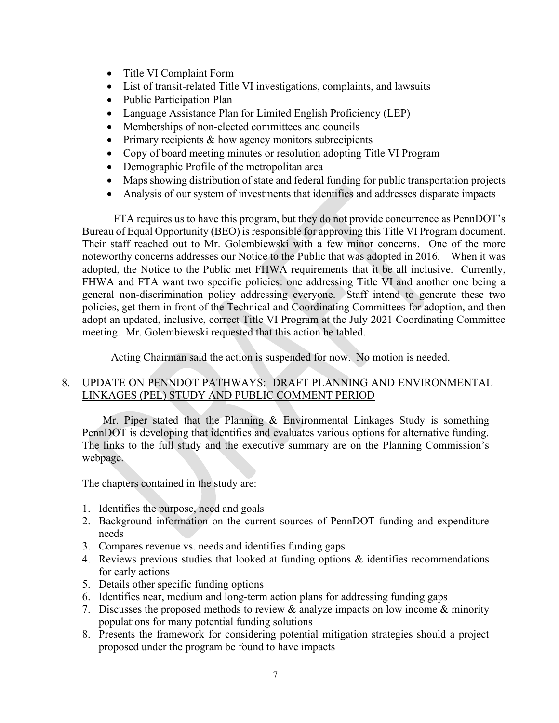- Title VI Complaint Form
- List of transit-related Title VI investigations, complaints, and lawsuits
- Public Participation Plan
- Language Assistance Plan for Limited English Proficiency (LEP)
- Memberships of non-elected committees and councils
- Primary recipients & how agency monitors subrecipients
- Copy of board meeting minutes or resolution adopting Title VI Program
- Demographic Profile of the metropolitan area
- Maps showing distribution of state and federal funding for public transportation projects
- Analysis of our system of investments that identifies and addresses disparate impacts

FTA requires us to have this program, but they do not provide concurrence as PennDOT's Bureau of Equal Opportunity (BEO) is responsible for approving this Title VI Program document. Their staff reached out to Mr. Golembiewski with a few minor concerns. One of the more noteworthy concerns addresses our Notice to the Public that was adopted in 2016. When it was adopted, the Notice to the Public met FHWA requirements that it be all inclusive. Currently, FHWA and FTA want two specific policies: one addressing Title VI and another one being a general non-discrimination policy addressing everyone. Staff intend to generate these two policies, get them in front of the Technical and Coordinating Committees for adoption, and then adopt an updated, inclusive, correct Title VI Program at the July 2021 Coordinating Committee meeting. Mr. Golembiewski requested that this action be tabled.

Acting Chairman said the action is suspended for now. No motion is needed.

# 8. UPDATE ON PENNDOT PATHWAYS: DRAFT PLANNING AND ENVIRONMENTAL LINKAGES (PEL) STUDY AND PUBLIC COMMENT PERIOD

Mr. Piper stated that the Planning & Environmental Linkages Study is something PennDOT is developing that identifies and evaluates various options for alternative funding. The links to the full study and the executive summary are on the Planning Commission's webpage.

The chapters contained in the study are:

- 1. Identifies the purpose, need and goals
- 2. Background information on the current sources of PennDOT funding and expenditure needs
- 3. Compares revenue vs. needs and identifies funding gaps
- 4. Reviews previous studies that looked at funding options & identifies recommendations for early actions
- 5. Details other specific funding options
- 6. Identifies near, medium and long-term action plans for addressing funding gaps
- 7. Discusses the proposed methods to review & analyze impacts on low income & minority populations for many potential funding solutions
- 8. Presents the framework for considering potential mitigation strategies should a project proposed under the program be found to have impacts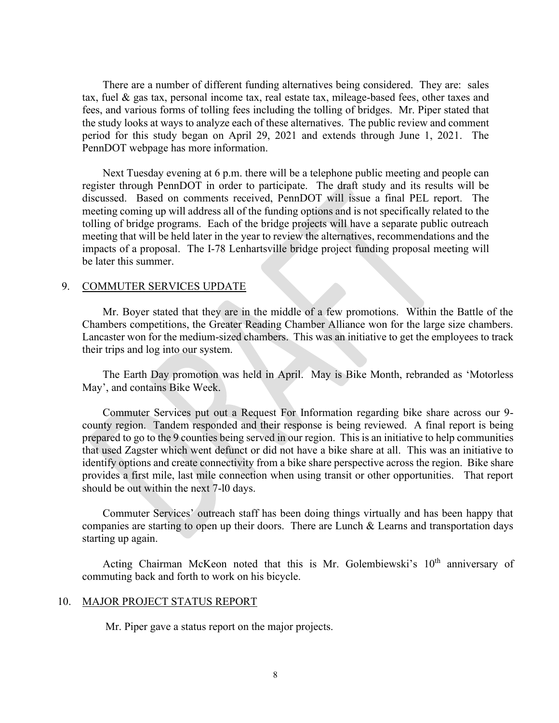There are a number of different funding alternatives being considered. They are: sales tax, fuel & gas tax, personal income tax, real estate tax, mileage-based fees, other taxes and fees, and various forms of tolling fees including the tolling of bridges. Mr. Piper stated that the study looks at ways to analyze each of these alternatives. The public review and comment period for this study began on April 29, 2021 and extends through June 1, 2021. The PennDOT webpage has more information.

Next Tuesday evening at 6 p.m. there will be a telephone public meeting and people can register through PennDOT in order to participate. The draft study and its results will be discussed. Based on comments received, PennDOT will issue a final PEL report. The meeting coming up will address all of the funding options and is not specifically related to the tolling of bridge programs. Each of the bridge projects will have a separate public outreach meeting that will be held later in the year to review the alternatives, recommendations and the impacts of a proposal. The I-78 Lenhartsville bridge project funding proposal meeting will be later this summer.

#### 9. COMMUTER SERVICES UPDATE

Mr. Boyer stated that they are in the middle of a few promotions. Within the Battle of the Chambers competitions, the Greater Reading Chamber Alliance won for the large size chambers. Lancaster won for the medium-sized chambers. This was an initiative to get the employees to track their trips and log into our system.

The Earth Day promotion was held in April. May is Bike Month, rebranded as 'Motorless May', and contains Bike Week.

Commuter Services put out a Request For Information regarding bike share across our 9 county region. Tandem responded and their response is being reviewed. A final report is being prepared to go to the 9 counties being served in our region. This is an initiative to help communities that used Zagster which went defunct or did not have a bike share at all. This was an initiative to identify options and create connectivity from a bike share perspective across the region. Bike share provides a first mile, last mile connection when using transit or other opportunities. That report should be out within the next 7-l0 days.

Commuter Services' outreach staff has been doing things virtually and has been happy that companies are starting to open up their doors. There are Lunch & Learns and transportation days starting up again.

Acting Chairman McKeon noted that this is Mr. Golembiewski's 10<sup>th</sup> anniversary of commuting back and forth to work on his bicycle.

#### 10. MAJOR PROJECT STATUS REPORT

Mr. Piper gave a status report on the major projects.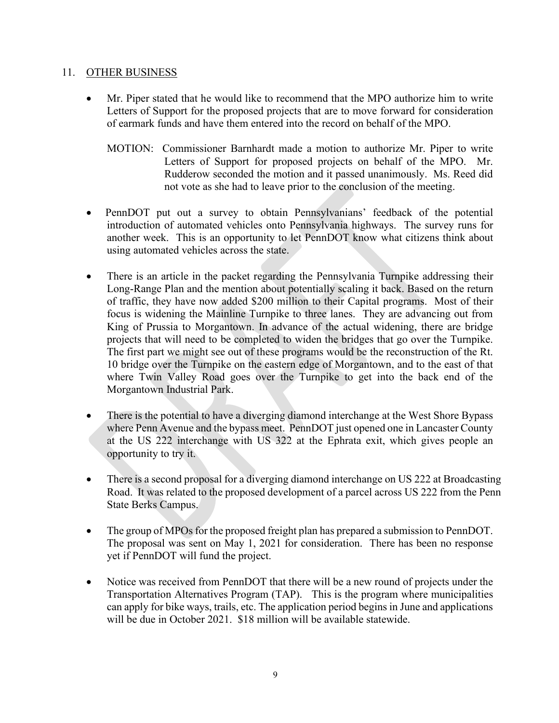## 11. OTHER BUSINESS

- Mr. Piper stated that he would like to recommend that the MPO authorize him to write Letters of Support for the proposed projects that are to move forward for consideration of earmark funds and have them entered into the record on behalf of the MPO.
	- MOTION: Commissioner Barnhardt made a motion to authorize Mr. Piper to write Letters of Support for proposed projects on behalf of the MPO. Mr. Rudderow seconded the motion and it passed unanimously. Ms. Reed did not vote as she had to leave prior to the conclusion of the meeting.
- PennDOT put out a survey to obtain Pennsylvanians' feedback of the potential introduction of automated vehicles onto Pennsylvania highways. The survey runs for another week. This is an opportunity to let PennDOT know what citizens think about using automated vehicles across the state.
- There is an article in the packet regarding the Pennsylvania Turnpike addressing their Long-Range Plan and the mention about potentially scaling it back. Based on the return of traffic, they have now added \$200 million to their Capital programs. Most of their focus is widening the Mainline Turnpike to three lanes. They are advancing out from King of Prussia to Morgantown. In advance of the actual widening, there are bridge projects that will need to be completed to widen the bridges that go over the Turnpike. The first part we might see out of these programs would be the reconstruction of the Rt. 10 bridge over the Turnpike on the eastern edge of Morgantown, and to the east of that where Twin Valley Road goes over the Turnpike to get into the back end of the Morgantown Industrial Park.
- There is the potential to have a diverging diamond interchange at the West Shore Bypass where Penn Avenue and the bypass meet. PennDOT just opened one in Lancaster County at the US 222 interchange with US 322 at the Ephrata exit, which gives people an opportunity to try it.
- There is a second proposal for a diverging diamond interchange on US 222 at Broadcasting Road. It was related to the proposed development of a parcel across US 222 from the Penn State Berks Campus.
- The group of MPOs for the proposed freight plan has prepared a submission to PennDOT. The proposal was sent on May 1, 2021 for consideration. There has been no response yet if PennDOT will fund the project.
- Notice was received from PennDOT that there will be a new round of projects under the Transportation Alternatives Program (TAP). This is the program where municipalities can apply for bike ways, trails, etc. The application period begins in June and applications will be due in October 2021. \$18 million will be available statewide.